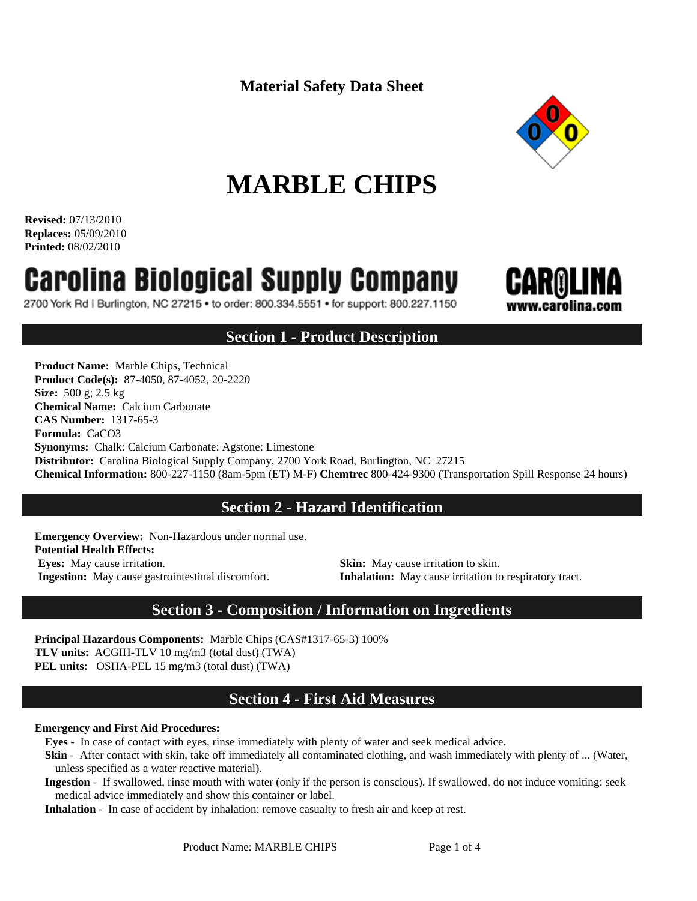**Material Safety Data Sheet**



# **MARBLE CHIPS**

**Revised:** 07/13/2010 **Replaces:** 05/09/2010 **Printed:** 08/02/2010

# **Carolina Biological Supply Company**

2700 York Rd | Burlington, NC 27215 • to order: 800.334.5551 • for support: 800.227.1150



# **Section 1 - Product Description**

**Product Name:** Marble Chips, Technical **Product Code(s):** 87-4050, 87-4052, 20-2220 **Size:** 500 g; 2.5 kg **Chemical Name:** Calcium Carbonate **CAS Number:** 1317-65-3 **Formula:** CaCO3 **Synonyms:** Chalk: Calcium Carbonate: Agstone: Limestone **Distributor:** Carolina Biological Supply Company, 2700 York Road, Burlington, NC 27215 **Chemical Information:** 800-227-1150 (8am-5pm (ET) M-F) **Chemtrec** 800-424-9300 (Transportation Spill Response 24 hours)

# **Section 2 - Hazard Identification**

**Emergency Overview:** Non-Hazardous under normal use. **Potential Health Effects: Eyes:** May cause irritation. **Skin:** May cause irritation to skin.

**Ingestion:** May cause gastrointestinal discomfort. **Inhalation:** May cause irritation to respiratory tract.

# **Section 3 - Composition / Information on Ingredients**

**Principal Hazardous Components:** Marble Chips (CAS#1317-65-3) 100% **TLV units:** ACGIH-TLV 10 mg/m3 (total dust) (TWA) **PEL units:** OSHA-PEL 15 mg/m3 (total dust) (TWA)

# **Section 4 - First Aid Measures**

#### **Emergency and First Aid Procedures:**

**Eyes** - In case of contact with eyes, rinse immediately with plenty of water and seek medical advice.

- **Skin** After contact with skin, take off immediately all contaminated clothing, and wash immediately with plenty of ... (Water, unless specified as a water reactive material).
- **Ingestion** If swallowed, rinse mouth with water (only if the person is conscious). If swallowed, do not induce vomiting: seek medical advice immediately and show this container or label.

**Inhalation** - In case of accident by inhalation: remove casualty to fresh air and keep at rest.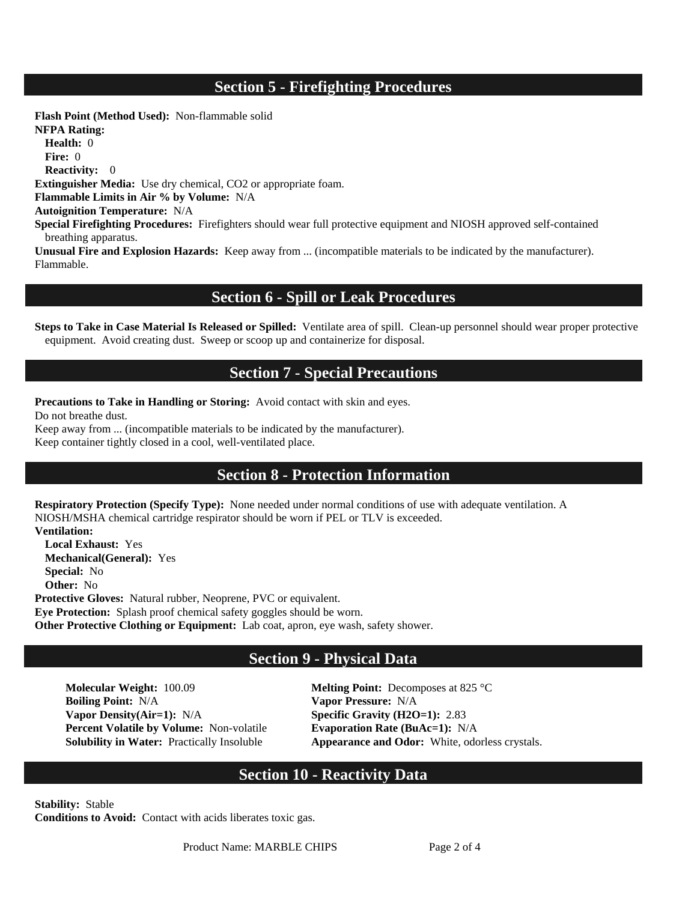# **Section 5 - Firefighting Procedures**

**Flash Point (Method Used):** Non-flammable solid **NFPA Rating: Health:** 0 **Fire:** 0 **Reactivity:** 0 **Extinguisher Media:** Use dry chemical, CO2 or appropriate foam. **Flammable Limits in Air % by Volume:** N/A **Autoignition Temperature:** N/A **Special Firefighting Procedures:** Firefighters should wear full protective equipment and NIOSH approved self-contained breathing apparatus. **Unusual Fire and Explosion Hazards:** Keep away from ... (incompatible materials to be indicated by the manufacturer). Flammable.

#### **Section 6 - Spill or Leak Procedures**

**Steps to Take in Case Material Is Released or Spilled:** Ventilate area of spill. Clean-up personnel should wear proper protective equipment. Avoid creating dust. Sweep or scoop up and containerize for disposal.

#### **Section 7 - Special Precautions**

**Precautions to Take in Handling or Storing:** Avoid contact with skin and eyes.

Do not breathe dust.

Keep away from ... (incompatible materials to be indicated by the manufacturer). Keep container tightly closed in a cool, well-ventilated place.

#### **Section 8 - Protection Information**

**Respiratory Protection (Specify Type):** None needed under normal conditions of use with adequate ventilation. A NIOSH/MSHA chemical cartridge respirator should be worn if PEL or TLV is exceeded. **Ventilation:** 

**Local Exhaust:** Yes **Mechanical(General):** Yes **Special:** No **Other:** No **Protective Gloves:** Natural rubber, Neoprene, PVC or equivalent. **Eye Protection:** Splash proof chemical safety goggles should be worn.

**Other Protective Clothing or Equipment:** Lab coat, apron, eye wash, safety shower.

# **Section 9 - Physical Data**

**Molecular Weight:** 100.09 **Melting Point:** Decomposes at 825 °C **Boiling Point:** N/A **Vapor Pressure:** N/A **Vapor Density(Air=1):** N/A **Specific Gravity (H2O=1):** 2.83 **Percent Volatile by Volume:** Non-volatile **Evaporation Rate (BuAc=1):** N/A

**Solubility in Water:** Practically Insoluble **Appearance and Odor:** White, odorless crystals.

# **Section 10 - Reactivity Data**

**Stability:** Stable **Conditions to Avoid:** Contact with acids liberates toxic gas.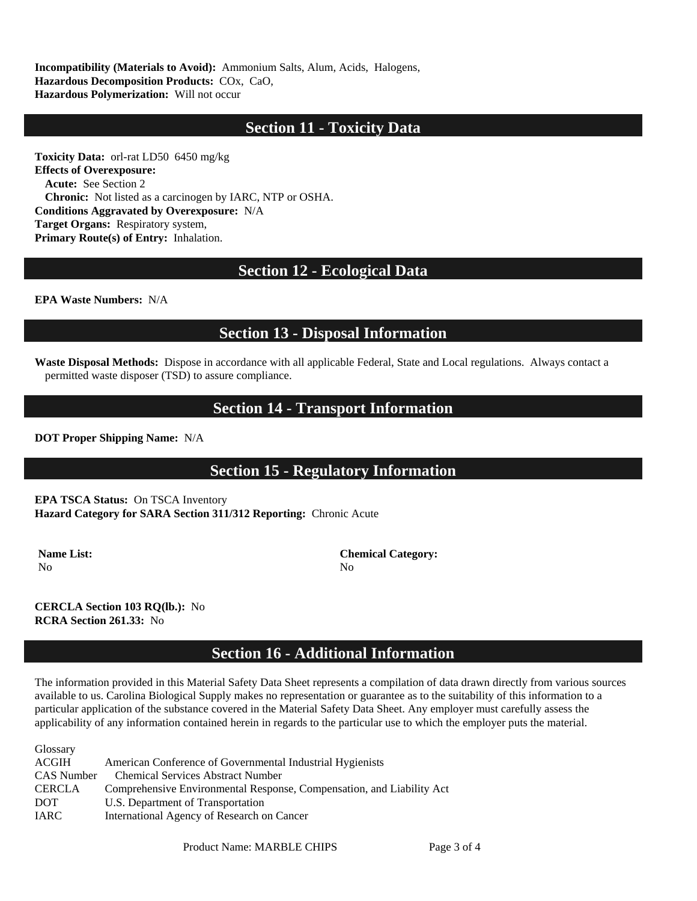**Incompatibility (Materials to Avoid):** Ammonium Salts, Alum, Acids, Halogens, **Hazardous Decomposition Products:** COx, CaO, **Hazardous Polymerization:** Will not occur

# **Section 11 - Toxicity Data**

**Toxicity Data:** orl-rat LD50 6450 mg/kg **Effects of Overexposure: Acute:** See Section 2 **Chronic:** Not listed as a carcinogen by IARC, NTP or OSHA. **Conditions Aggravated by Overexposure:** N/A **Target Organs:** Respiratory system, **Primary Route(s) of Entry:** Inhalation.

# **Section 12 - Ecological Data**

**EPA Waste Numbers:** N/A

#### **Section 13 - Disposal Information**

**Waste Disposal Methods:** Dispose in accordance with all applicable Federal, State and Local regulations. Always contact a permitted waste disposer (TSD) to assure compliance.

#### **Section 14 - Transport Information**

**DOT Proper Shipping Name:** N/A

# **Section 15 - Regulatory Information**

**EPA TSCA Status:** On TSCA Inventory **Hazard Category for SARA Section 311/312 Reporting:** Chronic Acute

No No

**Name List:** Chemical Category:

**CERCLA Section 103 RQ(lb.):** No **RCRA Section 261.33:** No

# **Section 16 - Additional Information**

The information provided in this Material Safety Data Sheet represents a compilation of data drawn directly from various sources available to us. Carolina Biological Supply makes no representation or guarantee as to the suitability of this information to a particular application of the substance covered in the Material Safety Data Sheet. Any employer must carefully assess the applicability of any information contained herein in regards to the particular use to which the employer puts the material.

| Glossary      |                                                                       |
|---------------|-----------------------------------------------------------------------|
| ACGIH         | American Conference of Governmental Industrial Hygienists             |
| CAS Number    | <b>Chemical Services Abstract Number</b>                              |
| <b>CERCLA</b> | Comprehensive Environmental Response, Compensation, and Liability Act |
| <b>DOT</b>    | U.S. Department of Transportation                                     |
| IARC          | International Agency of Research on Cancer                            |